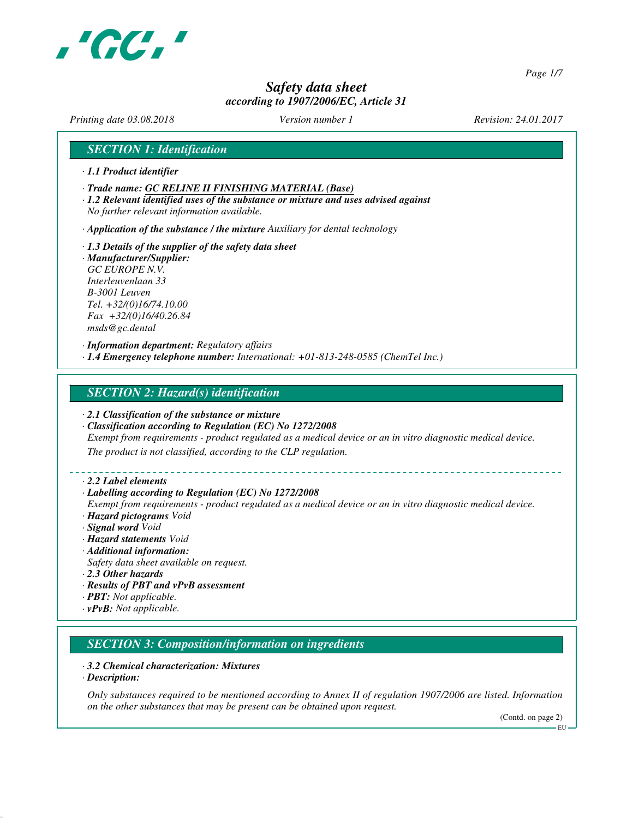

*Page 1/7*

# *Safety data sheet according to 1907/2006/EC, Article 31*

*Printing date 03.08.2018 Version number 1 Revision: 24.01.2017*

# *SECTION 1: Identification*

- *· 1.1 Product identifier*
- *· Trade name: GC RELINE II FINISHING MATERIAL (Base)*
- *· 1.2 Relevant identified uses of the substance or mixture and uses advised against No further relevant information available.*

*· Application of the substance / the mixture Auxiliary for dental technology*

*· 1.3 Details of the supplier of the safety data sheet · Manufacturer/Supplier: GC EUROPE N.V. Interleuvenlaan 33 B-3001 Leuven Tel. +32/(0)16/74.10.00 Fax +32/(0)16/40.26.84 msds@gc.dental*

*· Information department: Regulatory affairs · 1.4 Emergency telephone number: International: +01-813-248-0585 (ChemTel Inc.)*

# *SECTION 2: Hazard(s) identification*

- *· 2.1 Classification of the substance or mixture*
- *· Classification according to Regulation (EC) No 1272/2008*

*Exempt from requirements - product regulated as a medical device or an in vitro diagnostic medical device.*

*The product is not classified, according to the CLP regulation.*

*· 2.2 Label elements*

#### *· Labelling according to Regulation (EC) No 1272/2008*

*Exempt from requirements - product regulated as a medical device or an in vitro diagnostic medical device. · Hazard pictograms Void*

- *· Signal word Void*
- *· Hazard statements Void*
- *· Additional information:*
- *Safety data sheet available on request.*
- *· 2.3 Other hazards*
- *· Results of PBT and vPvB assessment*
- *· PBT: Not applicable.*
- *· vPvB: Not applicable.*

# *SECTION 3: Composition/information on ingredients*

### *· 3.2 Chemical characterization: Mixtures*

*· Description:*

*Only substances required to be mentioned according to Annex II of regulation 1907/2006 are listed. Information on the other substances that may be present can be obtained upon request.*

(Contd. on page 2)

EU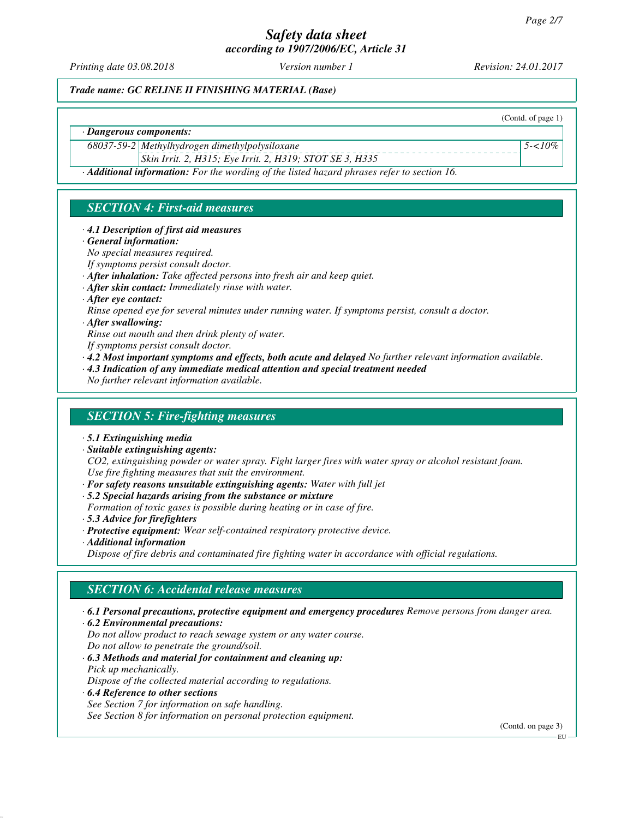*Printing date 03.08.2018 Version number 1 Revision: 24.01.2017*

(Contd. of page 1)

*5-<10%*

*Trade name: GC RELINE II FINISHING MATERIAL (Base)*

*· Dangerous components:*

*68037-59-2 Methylhydrogen dimethylpolysiloxane*

*Skin Irrit. 2, H315; Eye Irrit. 2, H319; STOT SE 3, H335*

*· Additional information: For the wording of the listed hazard phrases refer to section 16.*

# *SECTION 4: First-aid measures*

### *· 4.1 Description of first aid measures*

*· General information:*

*No special measures required.*

- *If symptoms persist consult doctor.*
- *· After inhalation: Take affected persons into fresh air and keep quiet.*
- *· After skin contact: Immediately rinse with water.*
- *· After eye contact:*
- *Rinse opened eye for several minutes under running water. If symptoms persist, consult a doctor.*
- *· After swallowing:*
- *Rinse out mouth and then drink plenty of water.*
- *If symptoms persist consult doctor.*
- *· 4.2 Most important symptoms and effects, both acute and delayed No further relevant information available.*
- *· 4.3 Indication of any immediate medical attention and special treatment needed*
- *No further relevant information available.*

# *SECTION 5: Fire-fighting measures*

- *· 5.1 Extinguishing media*
- *· Suitable extinguishing agents:*

*CO2, extinguishing powder or water spray. Fight larger fires with water spray or alcohol resistant foam. Use fire fighting measures that suit the environment.*

- *· For safety reasons unsuitable extinguishing agents: Water with full jet*
- *· 5.2 Special hazards arising from the substance or mixture*
- *Formation of toxic gases is possible during heating or in case of fire.*
- *· 5.3 Advice for firefighters*
- *· Protective equipment: Wear self-contained respiratory protective device.*
- *· Additional information*

*Dispose of fire debris and contaminated fire fighting water in accordance with official regulations.*

# *SECTION 6: Accidental release measures*

- *· 6.1 Personal precautions, protective equipment and emergency procedures Remove persons from danger area.*
- *· 6.2 Environmental precautions:*

*Do not allow product to reach sewage system or any water course. Do not allow to penetrate the ground/soil.*

- *· 6.3 Methods and material for containment and cleaning up: Pick up mechanically. Dispose of the collected material according to regulations.*
- *· 6.4 Reference to other sections*

*See Section 7 for information on safe handling.*

*See Section 8 for information on personal protection equipment.*

(Contd. on page 3)

EU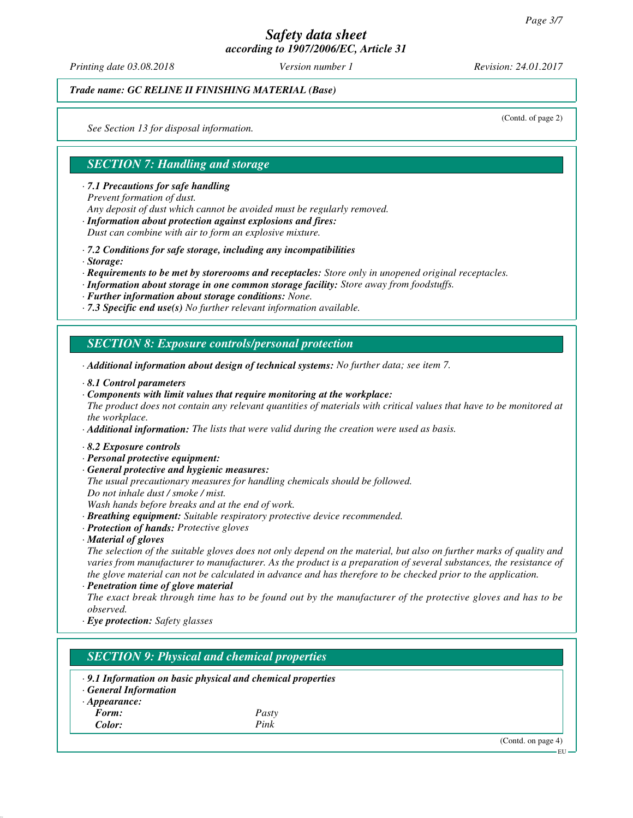*Printing date 03.08.2018 Version number 1 Revision: 24.01.2017*

(Contd. of page 2)

# *Trade name: GC RELINE II FINISHING MATERIAL (Base)*

*See Section 13 for disposal information.*

# *SECTION 7: Handling and storage*

*· 7.1 Precautions for safe handling*

*Prevent formation of dust.*

*Any deposit of dust which cannot be avoided must be regularly removed.*

*· Information about protection against explosions and fires:*

*Dust can combine with air to form an explosive mixture.*

- *· 7.2 Conditions for safe storage, including any incompatibilities*
- *· Storage:*
- *· Requirements to be met by storerooms and receptacles: Store only in unopened original receptacles.*
- *· Information about storage in one common storage facility: Store away from foodstuffs.*
- *· Further information about storage conditions: None.*
- *· 7.3 Specific end use(s) No further relevant information available.*

# *SECTION 8: Exposure controls/personal protection*

- *· Additional information about design of technical systems: No further data; see item 7.*
- *· 8.1 Control parameters*
- *· Components with limit values that require monitoring at the workplace:*

*The product does not contain any relevant quantities of materials with critical values that have to be monitored at the workplace.*

- *· Additional information: The lists that were valid during the creation were used as basis.*
- *· 8.2 Exposure controls*
- *· Personal protective equipment:*
- *· General protective and hygienic measures:*
- *The usual precautionary measures for handling chemicals should be followed. Do not inhale dust / smoke / mist.*

*Wash hands before breaks and at the end of work.*

- *· Breathing equipment: Suitable respiratory protective device recommended.*
- *· Protection of hands: Protective gloves*
- *· Material of gloves*

*The selection of the suitable gloves does not only depend on the material, but also on further marks of quality and varies from manufacturer to manufacturer. As the product is a preparation of several substances, the resistance of the glove material can not be calculated in advance and has therefore to be checked prior to the application.*

*· Penetration time of glove material*

*The exact break through time has to be found out by the manufacturer of the protective gloves and has to be observed.*

*· Eye protection: Safety glasses*

# *SECTION 9: Physical and chemical properties*

*· 9.1 Information on basic physical and chemical properties · General Information · Appearance: Form: Pasty Color: Pink*

(Contd. on page 4)

EU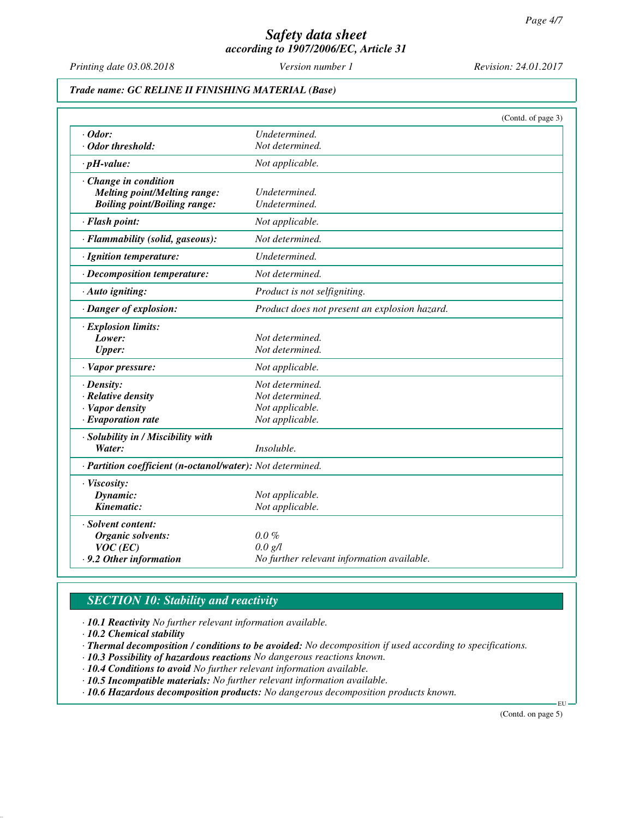*Printing date 03.08.2018 Version number 1 Revision: 24.01.2017*

# *Trade name: GC RELINE II FINISHING MATERIAL (Base)*

|                                                            | (Contd. of page 3)                            |
|------------------------------------------------------------|-----------------------------------------------|
| $\cdot$ Odor:                                              | Undetermined.                                 |
| Odor threshold:                                            | Not determined.                               |
| $\cdot$ pH-value:                                          | Not applicable.                               |
| Change in condition                                        |                                               |
| Melting point/Melting range:                               | Undetermined.                                 |
| <b>Boiling point/Boiling range:</b>                        | Undetermined.                                 |
| · Flash point:                                             | Not applicable.                               |
| · Flammability (solid, gaseous):                           | Not determined.                               |
| · Ignition temperature:                                    | Undetermined.                                 |
| · Decomposition temperature:                               | Not determined.                               |
| · Auto igniting:                                           | Product is not selfigniting.                  |
| · Danger of explosion:                                     | Product does not present an explosion hazard. |
| · Explosion limits:                                        |                                               |
| Lower:                                                     | Not determined.                               |
| <b>Upper:</b>                                              | Not determined.                               |
| · Vapor pressure:                                          | Not applicable.                               |
| $\cdot$ Density:                                           | Not determined.                               |
| · Relative density                                         | Not determined.                               |
| · Vapor density                                            | Not applicable.                               |
| $\cdot$ Evaporation rate                                   | Not applicable.                               |
| · Solubility in / Miscibility with                         |                                               |
| Water:                                                     | Insoluble.                                    |
| · Partition coefficient (n-octanol/water): Not determined. |                                               |
| · Viscosity:                                               |                                               |
| Dynamic:                                                   | Not applicable.                               |
| Kinematic:                                                 | Not applicable.                               |
| · Solvent content:                                         |                                               |
| Organic solvents:                                          | $0.0\%$                                       |
| $VOC$ (EC)                                                 | 0.0 g/l                                       |
| .9.2 Other information                                     | No further relevant information available.    |

# *SECTION 10: Stability and reactivity*

*· 10.1 Reactivity No further relevant information available.*

*· 10.2 Chemical stability*

*· Thermal decomposition / conditions to be avoided: No decomposition if used according to specifications.*

*· 10.3 Possibility of hazardous reactions No dangerous reactions known.*

*· 10.4 Conditions to avoid No further relevant information available.*

*· 10.5 Incompatible materials: No further relevant information available.*

*· 10.6 Hazardous decomposition products: No dangerous decomposition products known.*

(Contd. on page 5)

EU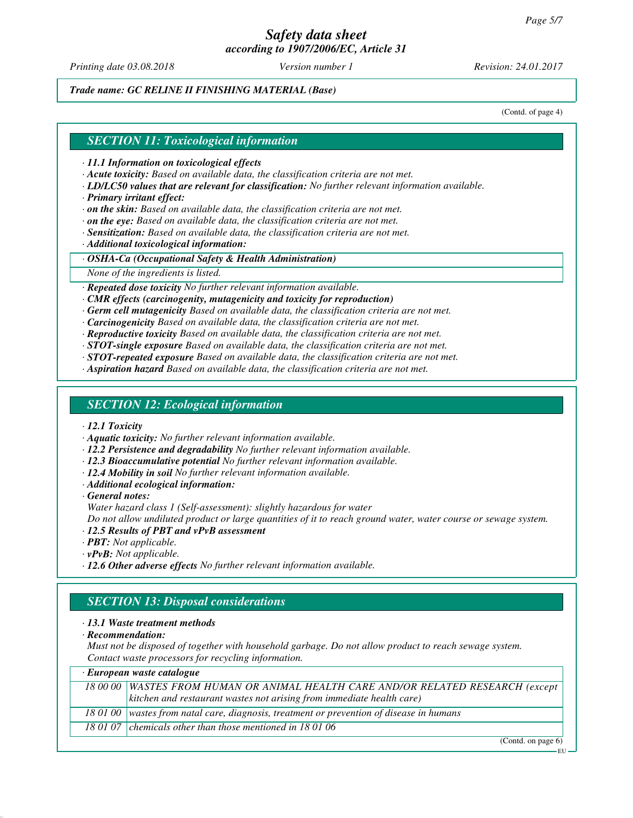*Printing date 03.08.2018 Version number 1 Revision: 24.01.2017*

*Trade name: GC RELINE II FINISHING MATERIAL (Base)*

(Contd. of page 4)

### *SECTION 11: Toxicological information*

*· 11.1 Information on toxicological effects*

- *· Acute toxicity: Based on available data, the classification criteria are not met.*
- *· LD/LC50 values that are relevant for classification: No further relevant information available.*
- *· Primary irritant effect:*
- *· on the skin: Based on available data, the classification criteria are not met.*
- *· on the eye: Based on available data, the classification criteria are not met.*
- *· Sensitization: Based on available data, the classification criteria are not met.*

*· Additional toxicological information:*

*· OSHA-Ca (Occupational Safety & Health Administration)*

*None of the ingredients is listed.*

*· Repeated dose toxicity No further relevant information available.*

- *· CMR effects (carcinogenity, mutagenicity and toxicity for reproduction)*
- *· Germ cell mutagenicity Based on available data, the classification criteria are not met.*

*· Carcinogenicity Based on available data, the classification criteria are not met.*

*· Reproductive toxicity Based on available data, the classification criteria are not met.*

*· STOT-single exposure Based on available data, the classification criteria are not met.*

- *· STOT-repeated exposure Based on available data, the classification criteria are not met.*
- *· Aspiration hazard Based on available data, the classification criteria are not met.*

# *SECTION 12: Ecological information*

*· 12.1 Toxicity*

- *· Aquatic toxicity: No further relevant information available.*
- *· 12.2 Persistence and degradability No further relevant information available.*
- *· 12.3 Bioaccumulative potential No further relevant information available.*
- *· 12.4 Mobility in soil No further relevant information available.*
- *· Additional ecological information:*

*· General notes:*

*Water hazard class 1 (Self-assessment): slightly hazardous for water*

*Do not allow undiluted product or large quantities of it to reach ground water, water course or sewage system.*

- *· 12.5 Results of PBT and vPvB assessment*
- *· PBT: Not applicable.*
- *· vPvB: Not applicable.*
- *· 12.6 Other adverse effects No further relevant information available.*

# *SECTION 13: Disposal considerations*

### *· 13.1 Waste treatment methods*

*· Recommendation:*

*Must not be disposed of together with household garbage. Do not allow product to reach sewage system. Contact waste processors for recycling information.*

| · European waste catalogue |                                                                                            |  |
|----------------------------|--------------------------------------------------------------------------------------------|--|
|                            | 18 00 00 WASTES FROM HUMAN OR ANIMAL HEALTH CARE AND/OR RELATED RESEARCH (except           |  |
|                            | $\vert$ kitchen and restaurant wastes not arising from immediate health care)              |  |
|                            | 18 01 00   wastes from natal care, diagnosis, treatment or prevention of disease in humans |  |
|                            | 18 01 07 chemicals other than those mentioned in 18 01 06                                  |  |

(Contd. on page 6)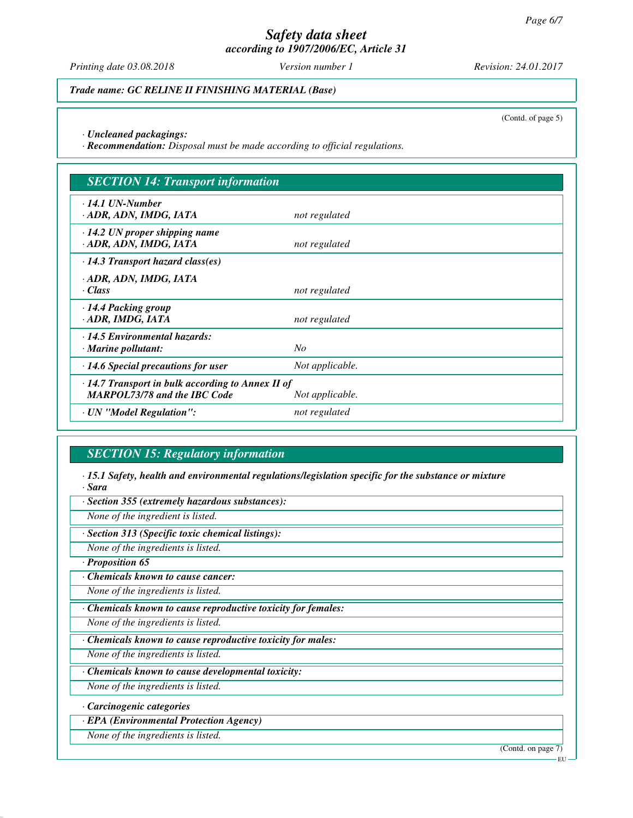*Printing date 03.08.2018 Version number 1 Revision: 24.01.2017*

*Trade name: GC RELINE II FINISHING MATERIAL (Base)*

(Contd. of page 5)

*· Uncleaned packagings:*

*· Recommendation: Disposal must be made according to official regulations.*

| <b>SECTION 14: Transport information</b>                                                       |                 |  |
|------------------------------------------------------------------------------------------------|-----------------|--|
| $\cdot$ 14.1 UN-Number<br>· ADR, ADN, IMDG, IATA                                               | not regulated   |  |
| $\cdot$ 14.2 UN proper shipping name<br>· ADR, ADN, IMDG, IATA                                 | not regulated   |  |
| $\cdot$ 14.3 Transport hazard class(es)                                                        |                 |  |
| · ADR, ADN, IMDG, IATA<br>· Class                                                              | not regulated   |  |
| $\cdot$ 14.4 Packing group<br>· ADR, IMDG, IATA                                                | not regulated   |  |
| $\cdot$ 14.5 Environmental hazards:<br>$\cdot$ Marine pollutant:                               | No              |  |
| $\cdot$ 14.6 Special precautions for user                                                      | Not applicable. |  |
| $\cdot$ 14.7 Transport in bulk according to Annex II of<br><b>MARPOL73/78 and the IBC Code</b> | Not applicable. |  |
| · UN "Model Regulation":                                                                       | not regulated   |  |

# *SECTION 15: Regulatory information*

*· 15.1 Safety, health and environmental regulations/legislation specific for the substance or mixture · Sara*

*· Section 355 (extremely hazardous substances):*

*None of the ingredient is listed.*

*· Section 313 (Specific toxic chemical listings):*

*None of the ingredients is listed.*

*· Proposition 65*

*· Chemicals known to cause cancer:*

*None of the ingredients is listed.*

*· Chemicals known to cause reproductive toxicity for females:*

*None of the ingredients is listed.*

*· Chemicals known to cause reproductive toxicity for males:*

*None of the ingredients is listed.*

*· Chemicals known to cause developmental toxicity:*

*None of the ingredients is listed.*

*· Carcinogenic categories*

*· EPA (Environmental Protection Agency)*

*None of the ingredients is listed.*

(Contd. on page 7)

EU